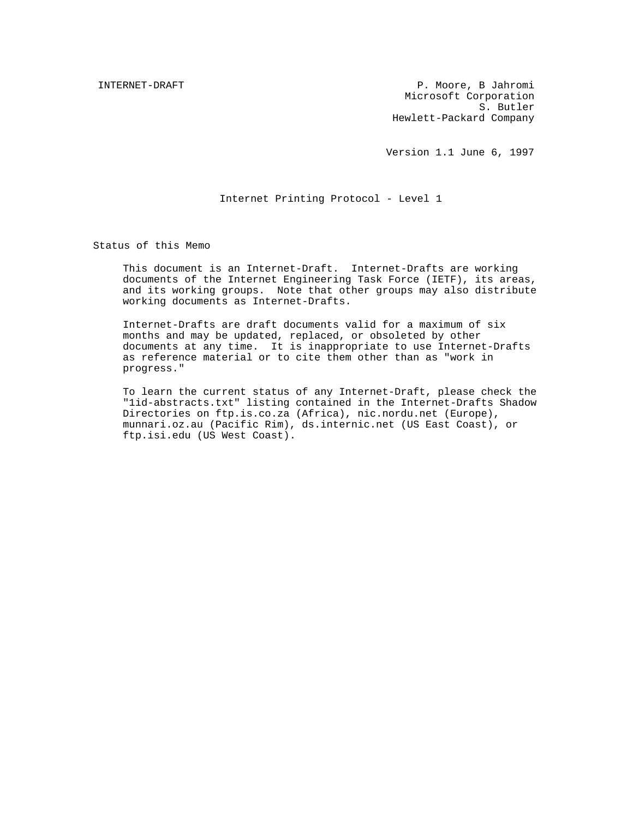INTERNET-DRAFT PRAFT PRAFT PERSON NEWSLET BUSINESS P. MOOYE, B Jahromi Microsoft Corporation S. Butler Hewlett-Packard Company

Version 1.1 June 6, 1997

### Internet Printing Protocol - Level 1

Status of this Memo

This document is an Internet-Draft. Internet-Drafts are working documents of the Internet Engineering Task Force (IETF), its areas, and its working groups. Note that other groups may also distribute working documents as Internet-Drafts.

Internet-Drafts are draft documents valid for a maximum of six months and may be updated, replaced, or obsoleted by other documents at any time. It is inappropriate to use Internet-Drafts as reference material or to cite them other than as "work in progress."

To learn the current status of any Internet-Draft, please check the "1id-abstracts.txt" listing contained in the Internet-Drafts Shadow Directories on ftp.is.co.za (Africa), nic.nordu.net (Europe), munnari.oz.au (Pacific Rim), ds.internic.net (US East Coast), or ftp.isi.edu (US West Coast).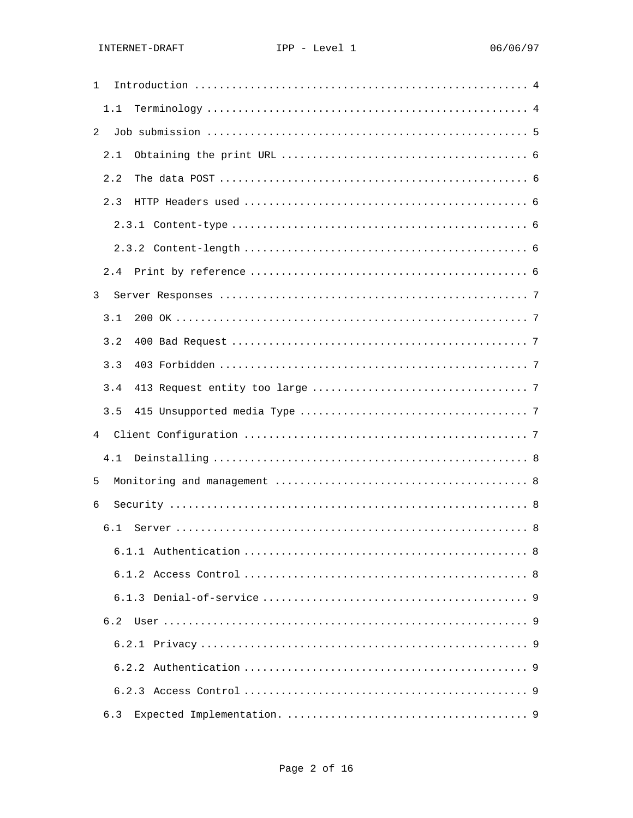| $\mathbf{1}$ |     |  |
|--------------|-----|--|
|              | 1.1 |  |
| 2            |     |  |
|              | 2.1 |  |
|              | 2.2 |  |
|              | 2.3 |  |
|              |     |  |
|              |     |  |
|              | 2.4 |  |
| 3            |     |  |
|              | 3.1 |  |
|              | 3.2 |  |
|              | 3.3 |  |
|              | 3.4 |  |
|              | 3.5 |  |
| 4            |     |  |
|              | 4.1 |  |
| 5            |     |  |
| 6            |     |  |
|              | 6.1 |  |
|              |     |  |
|              |     |  |
|              |     |  |
|              | 6.2 |  |
|              |     |  |
|              |     |  |
|              |     |  |
|              | 6.3 |  |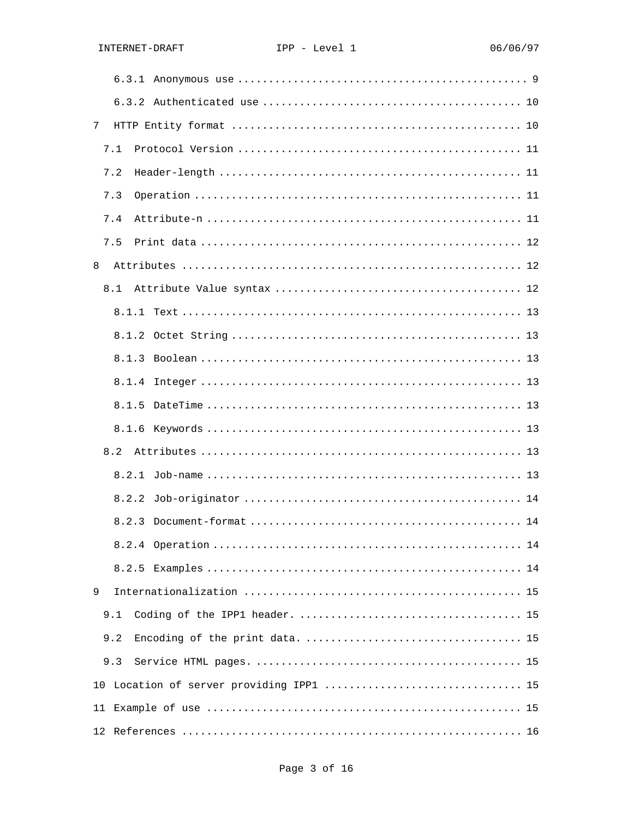| 7     |
|-------|
| 7.1   |
| 7.2   |
| 7.3   |
| 7.4   |
| 7.5   |
| 8     |
| 8.1   |
|       |
|       |
| 8.1.3 |
| 8.1.4 |
|       |
|       |
| 8.2   |
|       |
|       |
| 8.2.3 |
|       |
|       |
| 9     |
| 9.1   |
| 9.2   |
| 9.3   |
|       |
|       |
|       |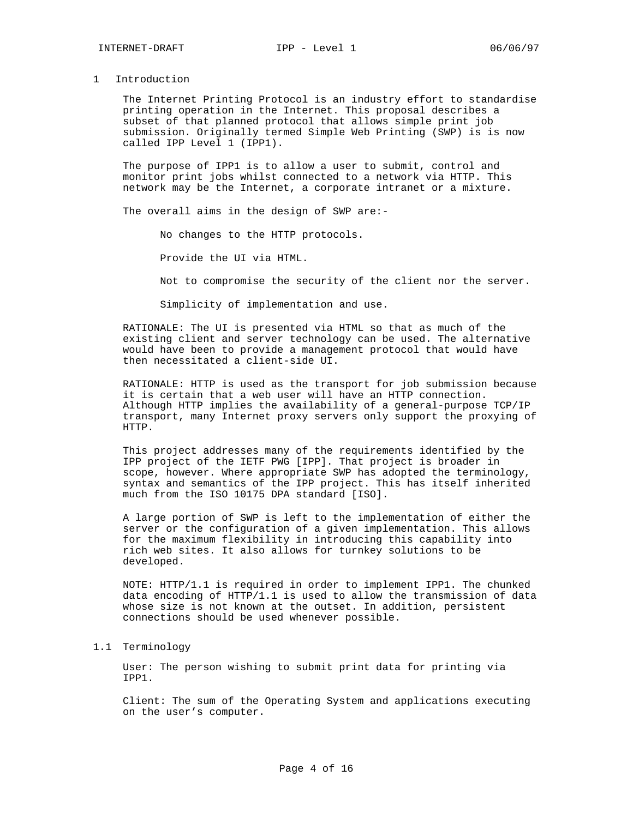#### 1 Introduction

The Internet Printing Protocol is an industry effort to standardise printing operation in the Internet. This proposal describes a subset of that planned protocol that allows simple print job submission. Originally termed Simple Web Printing (SWP) is is now called IPP Level 1 (IPP1).

The purpose of IPP1 is to allow a user to submit, control and monitor print jobs whilst connected to a network via HTTP. This network may be the Internet, a corporate intranet or a mixture.

The overall aims in the design of SWP are:-

No changes to the HTTP protocols.

Provide the UI via HTML.

Not to compromise the security of the client nor the server.

Simplicity of implementation and use.

RATIONALE: The UI is presented via HTML so that as much of the existing client and server technology can be used. The alternative would have been to provide a management protocol that would have then necessitated a client-side UI.

RATIONALE: HTTP is used as the transport for job submission because it is certain that a web user will have an HTTP connection. Although HTTP implies the availability of a general-purpose TCP/IP transport, many Internet proxy servers only support the proxying of HTTP.

This project addresses many of the requirements identified by the IPP project of the IETF PWG [IPP]. That project is broader in scope, however. Where appropriate SWP has adopted the terminology, syntax and semantics of the IPP project. This has itself inherited much from the ISO 10175 DPA standard [ISO].

A large portion of SWP is left to the implementation of either the server or the configuration of a given implementation. This allows for the maximum flexibility in introducing this capability into rich web sites. It also allows for turnkey solutions to be developed.

NOTE: HTTP/1.1 is required in order to implement IPP1. The chunked data encoding of HTTP/1.1 is used to allow the transmission of data whose size is not known at the outset. In addition, persistent connections should be used whenever possible.

# 1.1 Terminology

User: The person wishing to submit print data for printing via IPP1.

Client: The sum of the Operating System and applications executing on the user's computer.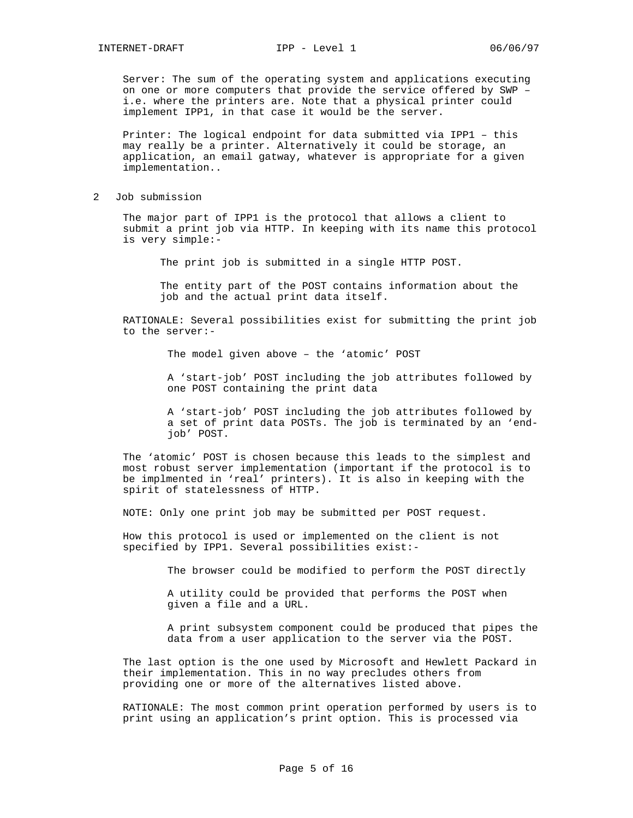Server: The sum of the operating system and applications executing on one or more computers that provide the service offered by SWP – i.e. where the printers are. Note that a physical printer could implement IPP1, in that case it would be the server.

Printer: The logical endpoint for data submitted via IPP1 – this may really be a printer. Alternatively it could be storage, an application, an email gatway, whatever is appropriate for a given implementation..

2 Job submission

The major part of IPP1 is the protocol that allows a client to submit a print job via HTTP. In keeping with its name this protocol is very simple:-

The print job is submitted in a single HTTP POST.

The entity part of the POST contains information about the job and the actual print data itself.

RATIONALE: Several possibilities exist for submitting the print job to the server:-

The model given above – the 'atomic' POST

A 'start-job' POST including the job attributes followed by one POST containing the print data

A 'start-job' POST including the job attributes followed by a set of print data POSTs. The job is terminated by an 'endjob' POST.

The 'atomic' POST is chosen because this leads to the simplest and most robust server implementation (important if the protocol is to be implmented in 'real' printers). It is also in keeping with the spirit of statelessness of HTTP.

NOTE: Only one print job may be submitted per POST request.

How this protocol is used or implemented on the client is not specified by IPP1. Several possibilities exist:-

The browser could be modified to perform the POST directly

A utility could be provided that performs the POST when given a file and a URL.

A print subsystem component could be produced that pipes the data from a user application to the server via the POST.

The last option is the one used by Microsoft and Hewlett Packard in their implementation. This in no way precludes others from providing one or more of the alternatives listed above.

RATIONALE: The most common print operation performed by users is to print using an application's print option. This is processed via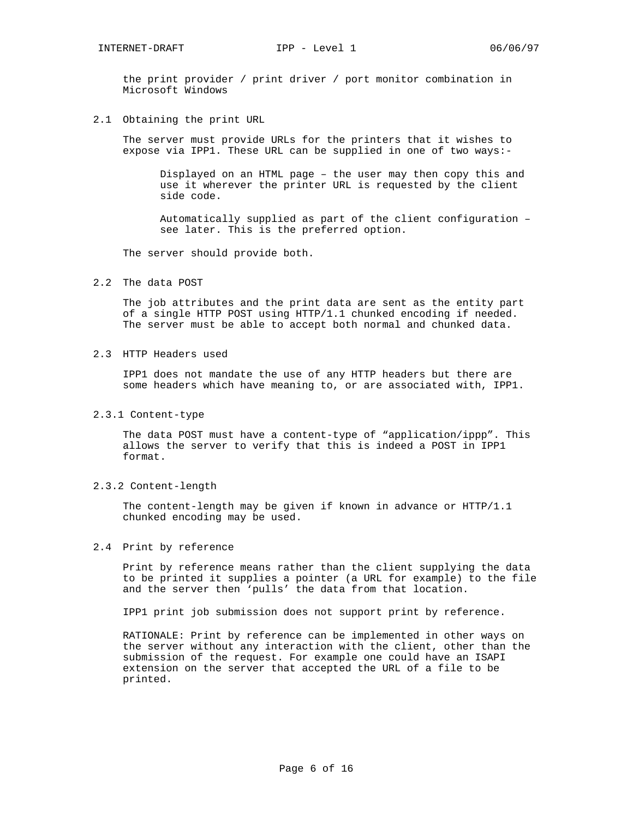the print provider / print driver / port monitor combination in Microsoft Windows

2.1 Obtaining the print URL

The server must provide URLs for the printers that it wishes to expose via IPP1. These URL can be supplied in one of two ways:-

Displayed on an HTML page – the user may then copy this and use it wherever the printer URL is requested by the client side code.

Automatically supplied as part of the client configuration – see later. This is the preferred option.

The server should provide both.

2.2 The data POST

The job attributes and the print data are sent as the entity part of a single HTTP POST using HTTP/1.1 chunked encoding if needed. The server must be able to accept both normal and chunked data.

2.3 HTTP Headers used

IPP1 does not mandate the use of any HTTP headers but there are some headers which have meaning to, or are associated with, IPP1.

2.3.1 Content-type

The data POST must have a content-type of "application/ippp". This allows the server to verify that this is indeed a POST in IPP1 format.

2.3.2 Content-length

The content-length may be given if known in advance or HTTP/1.1 chunked encoding may be used.

2.4 Print by reference

Print by reference means rather than the client supplying the data to be printed it supplies a pointer (a URL for example) to the file and the server then 'pulls' the data from that location.

IPP1 print job submission does not support print by reference.

RATIONALE: Print by reference can be implemented in other ways on the server without any interaction with the client, other than the submission of the request. For example one could have an ISAPI extension on the server that accepted the URL of a file to be printed.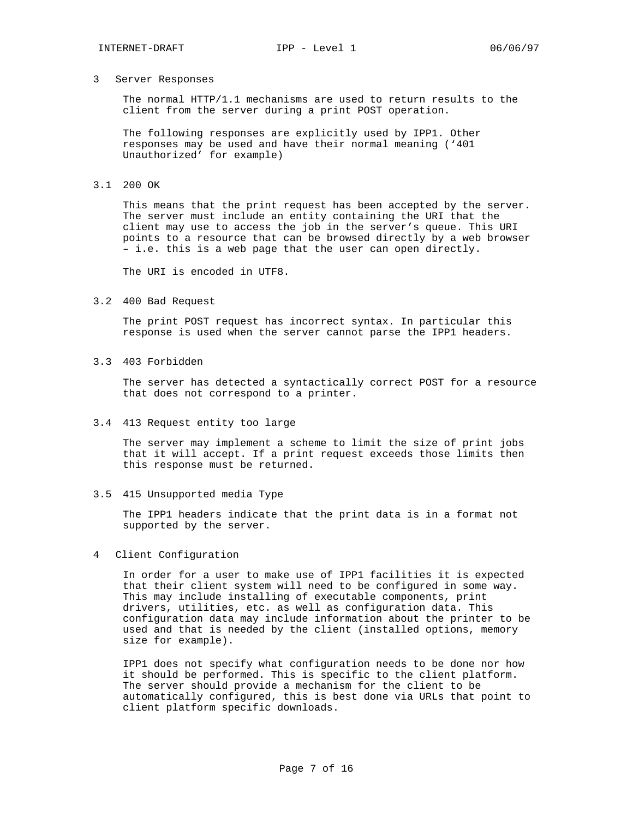## 3 Server Responses

The normal HTTP/1.1 mechanisms are used to return results to the client from the server during a print POST operation.

The following responses are explicitly used by IPP1. Other responses may be used and have their normal meaning ('401 Unauthorized' for example)

# 3.1 200 OK

This means that the print request has been accepted by the server. The server must include an entity containing the URI that the client may use to access the job in the server's queue. This URI points to a resource that can be browsed directly by a web browser – i.e. this is a web page that the user can open directly.

The URI is encoded in UTF8.

### 3.2 400 Bad Request

The print POST request has incorrect syntax. In particular this response is used when the server cannot parse the IPP1 headers.

#### 3.3 403 Forbidden

The server has detected a syntactically correct POST for a resource that does not correspond to a printer.

# 3.4 413 Request entity too large

The server may implement a scheme to limit the size of print jobs that it will accept. If a print request exceeds those limits then this response must be returned.

#### 3.5 415 Unsupported media Type

The IPP1 headers indicate that the print data is in a format not supported by the server.

## 4 Client Configuration

In order for a user to make use of IPP1 facilities it is expected that their client system will need to be configured in some way. This may include installing of executable components, print drivers, utilities, etc. as well as configuration data. This configuration data may include information about the printer to be used and that is needed by the client (installed options, memory size for example).

IPP1 does not specify what configuration needs to be done nor how it should be performed. This is specific to the client platform. The server should provide a mechanism for the client to be automatically configured, this is best done via URLs that point to client platform specific downloads.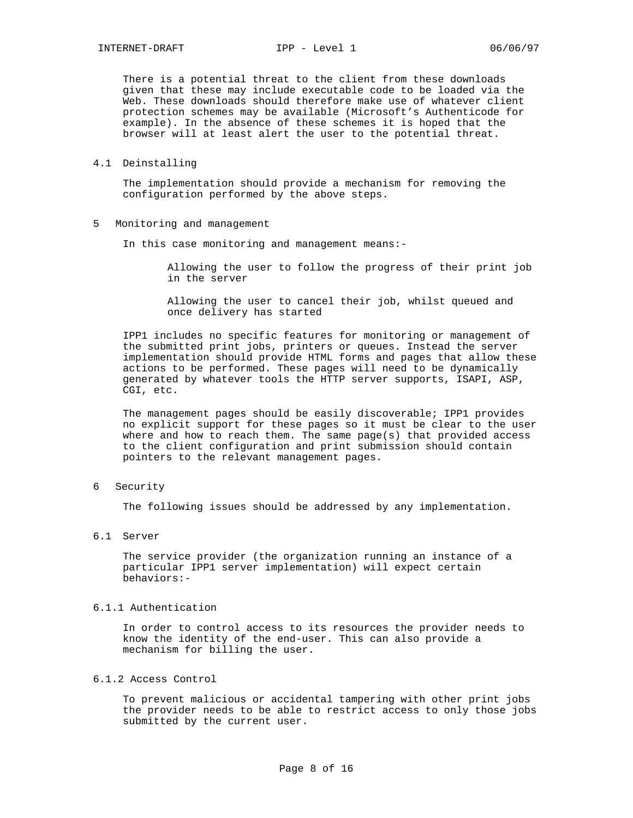There is a potential threat to the client from these downloads given that these may include executable code to be loaded via the Web. These downloads should therefore make use of whatever client protection schemes may be available (Microsoft's Authenticode for example). In the absence of these schemes it is hoped that the browser will at least alert the user to the potential threat.

4.1 Deinstalling

The implementation should provide a mechanism for removing the configuration performed by the above steps.

5 Monitoring and management

In this case monitoring and management means:-

Allowing the user to follow the progress of their print job in the server

Allowing the user to cancel their job, whilst queued and once delivery has started

IPP1 includes no specific features for monitoring or management of the submitted print jobs, printers or queues. Instead the server implementation should provide HTML forms and pages that allow these actions to be performed. These pages will need to be dynamically generated by whatever tools the HTTP server supports, ISAPI, ASP, CGI, etc.

The management pages should be easily discoverable; IPP1 provides no explicit support for these pages so it must be clear to the user where and how to reach them. The same page(s) that provided access to the client configuration and print submission should contain pointers to the relevant management pages.

6 Security

The following issues should be addressed by any implementation.

6.1 Server

The service provider (the organization running an instance of a particular IPP1 server implementation) will expect certain behaviors:-

# 6.1.1 Authentication

In order to control access to its resources the provider needs to know the identity of the end-user. This can also provide a mechanism for billing the user.

# 6.1.2 Access Control

To prevent malicious or accidental tampering with other print jobs the provider needs to be able to restrict access to only those jobs submitted by the current user.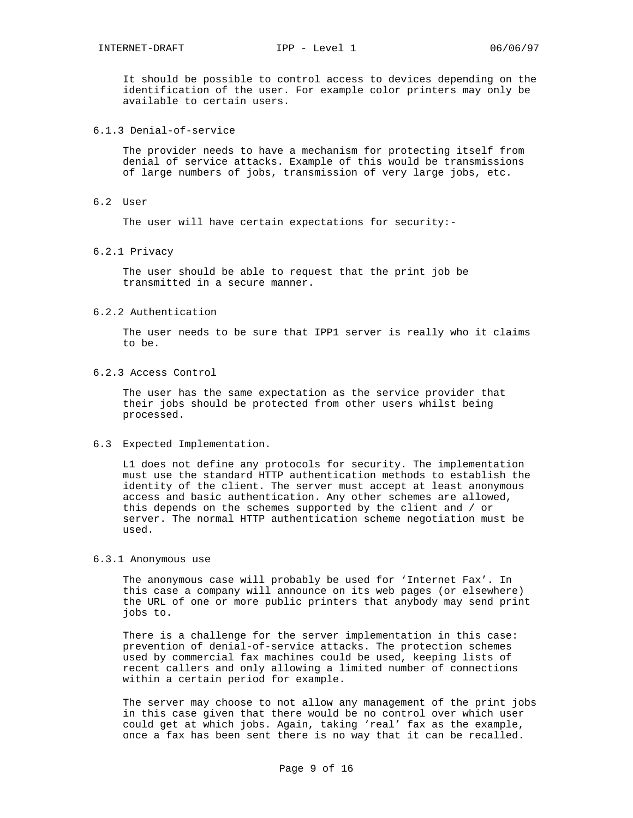It should be possible to control access to devices depending on the identification of the user. For example color printers may only be available to certain users.

# 6.1.3 Denial-of-service

The provider needs to have a mechanism for protecting itself from denial of service attacks. Example of this would be transmissions of large numbers of jobs, transmission of very large jobs, etc.

#### 6.2 User

The user will have certain expectations for security:-

#### 6.2.1 Privacy

The user should be able to request that the print job be transmitted in a secure manner.

# 6.2.2 Authentication

The user needs to be sure that IPP1 server is really who it claims to be.

# 6.2.3 Access Control

The user has the same expectation as the service provider that their jobs should be protected from other users whilst being processed.

#### 6.3 Expected Implementation.

L1 does not define any protocols for security. The implementation must use the standard HTTP authentication methods to establish the identity of the client. The server must accept at least anonymous access and basic authentication. Any other schemes are allowed, this depends on the schemes supported by the client and / or server. The normal HTTP authentication scheme negotiation must be used.

#### 6.3.1 Anonymous use

The anonymous case will probably be used for 'Internet Fax'. In this case a company will announce on its web pages (or elsewhere) the URL of one or more public printers that anybody may send print jobs to.

There is a challenge for the server implementation in this case: prevention of denial-of-service attacks. The protection schemes used by commercial fax machines could be used, keeping lists of recent callers and only allowing a limited number of connections within a certain period for example.

The server may choose to not allow any management of the print jobs in this case given that there would be no control over which user could get at which jobs. Again, taking 'real' fax as the example, once a fax has been sent there is no way that it can be recalled.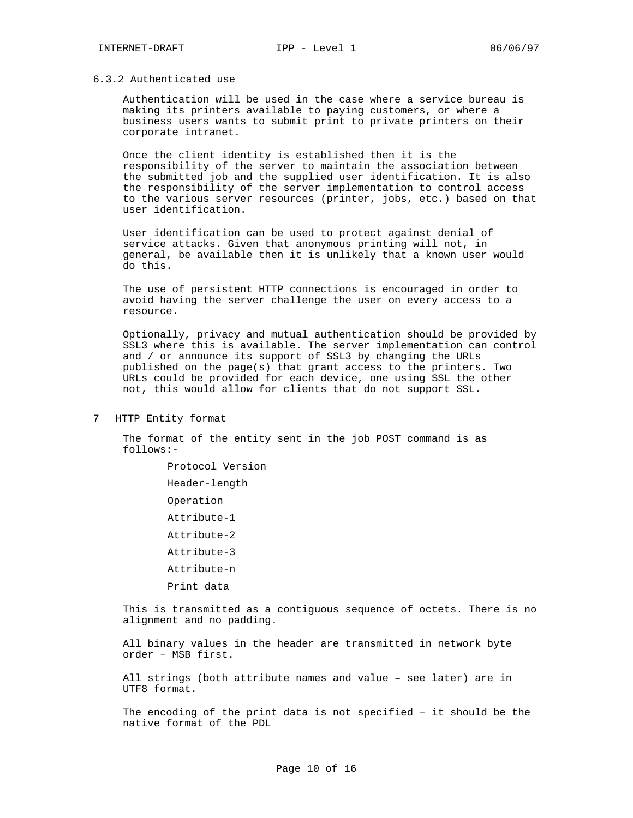## 6.3.2 Authenticated use

Authentication will be used in the case where a service bureau is making its printers available to paying customers, or where a business users wants to submit print to private printers on their corporate intranet.

Once the client identity is established then it is the responsibility of the server to maintain the association between the submitted job and the supplied user identification. It is also the responsibility of the server implementation to control access to the various server resources (printer, jobs, etc.) based on that user identification.

User identification can be used to protect against denial of service attacks. Given that anonymous printing will not, in general, be available then it is unlikely that a known user would do this.

The use of persistent HTTP connections is encouraged in order to avoid having the server challenge the user on every access to a resource.

Optionally, privacy and mutual authentication should be provided by SSL3 where this is available. The server implementation can control and / or announce its support of SSL3 by changing the URLs published on the page(s) that grant access to the printers. Two URLs could be provided for each device, one using SSL the other not, this would allow for clients that do not support SSL.

7 HTTP Entity format

The format of the entity sent in the job POST command is as follows:-

> Protocol Version Header-length Operation Attribute-1 Attribute-2 Attribute-3 Attribute-n Print data

This is transmitted as a contiguous sequence of octets. There is no alignment and no padding.

All binary values in the header are transmitted in network byte order – MSB first.

All strings (both attribute names and value – see later) are in UTF8 format.

The encoding of the print data is not specified – it should be the native format of the PDL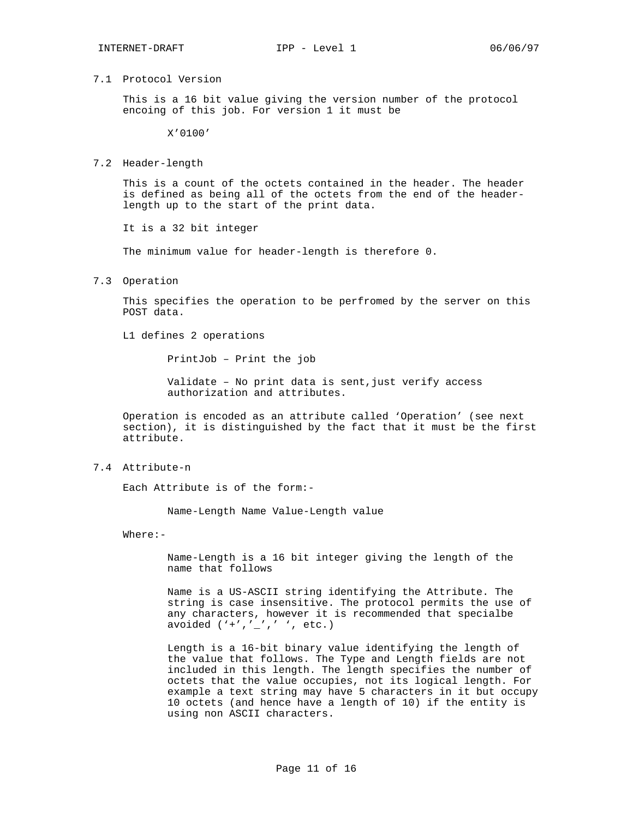#### 7.1 Protocol Version

This is a 16 bit value giving the version number of the protocol encoing of this job. For version 1 it must be

X'0100'

#### 7.2 Header-length

This is a count of the octets contained in the header. The header is defined as being all of the octets from the end of the headerlength up to the start of the print data.

It is a 32 bit integer

The minimum value for header-length is therefore 0.

7.3 Operation

This specifies the operation to be perfromed by the server on this POST data.

L1 defines 2 operations

PrintJob – Print the job

Validate - No print data is sent, just verify access authorization and attributes.

Operation is encoded as an attribute called 'Operation' (see next section), it is distinguished by the fact that it must be the first attribute.

7.4 Attribute-n

Each Attribute is of the form:-

Name-Length Name Value-Length value

Where:-

Name-Length is a 16 bit integer giving the length of the name that follows

Name is a US-ASCII string identifying the Attribute. The string is case insensitive. The protocol permits the use of any characters, however it is recommended that specialbe avoided  $('+','-',' ' , ' etc.)$ 

Length is a 16-bit binary value identifying the length of the value that follows. The Type and Length fields are not included in this length. The length specifies the number of octets that the value occupies, not its logical length. For example a text string may have 5 characters in it but occupy 10 octets (and hence have a length of 10) if the entity is using non ASCII characters.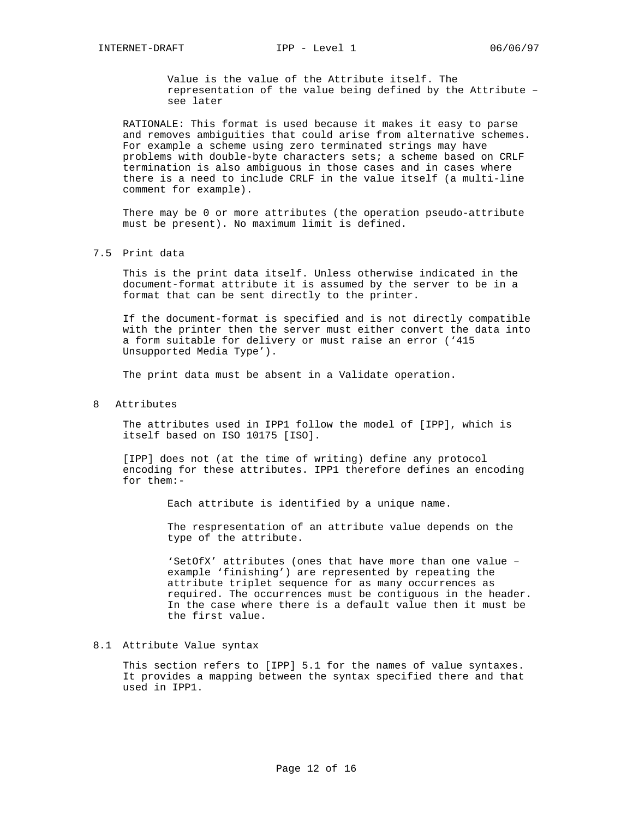Value is the value of the Attribute itself. The representation of the value being defined by the Attribute – see later

RATIONALE: This format is used because it makes it easy to parse and removes ambiguities that could arise from alternative schemes. For example a scheme using zero terminated strings may have problems with double-byte characters sets; a scheme based on CRLF termination is also ambiguous in those cases and in cases where there is a need to include CRLF in the value itself (a multi-line comment for example).

There may be 0 or more attributes (the operation pseudo-attribute must be present). No maximum limit is defined.

#### 7.5 Print data

This is the print data itself. Unless otherwise indicated in the document-format attribute it is assumed by the server to be in a format that can be sent directly to the printer.

If the document-format is specified and is not directly compatible with the printer then the server must either convert the data into a form suitable for delivery or must raise an error ('415 Unsupported Media Type').

The print data must be absent in a Validate operation.

#### 8 Attributes

The attributes used in IPP1 follow the model of [IPP], which is itself based on ISO 10175 [ISO].

[IPP] does not (at the time of writing) define any protocol encoding for these attributes. IPP1 therefore defines an encoding for them:-

Each attribute is identified by a unique name.

The respresentation of an attribute value depends on the type of the attribute.

'SetOfX' attributes (ones that have more than one value – example 'finishing') are represented by repeating the attribute triplet sequence for as many occurrences as required. The occurrences must be contiguous in the header. In the case where there is a default value then it must be the first value.

#### 8.1 Attribute Value syntax

This section refers to [IPP] 5.1 for the names of value syntaxes. It provides a mapping between the syntax specified there and that used in IPP1.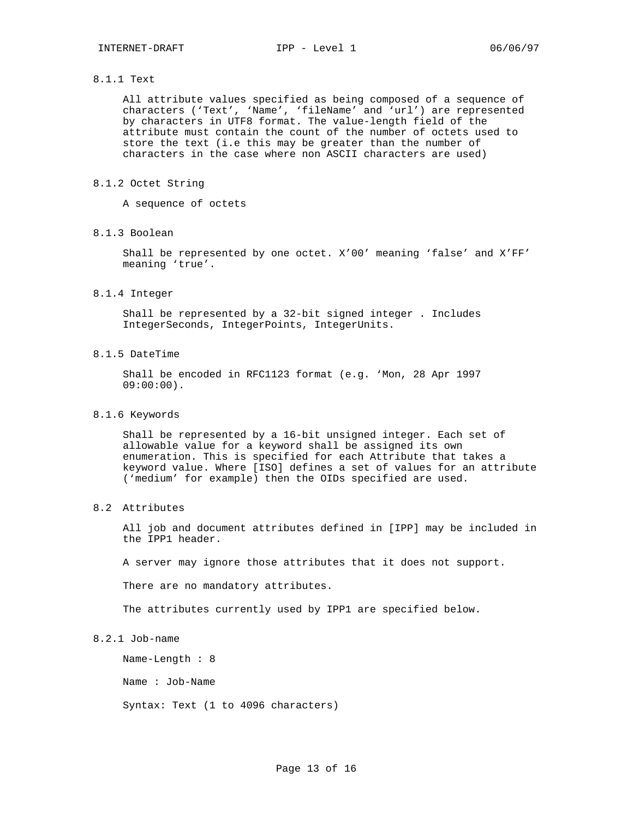### 8.1.1 Text

All attribute values specified as being composed of a sequence of characters ('Text', 'Name', 'fileName' and 'url') are represented by characters in UTF8 format. The value-length field of the attribute must contain the count of the number of octets used to store the text (i.e this may be greater than the number of characters in the case where non ASCII characters are used)

#### 8.1.2 Octet String

A sequence of octets

# 8.1.3 Boolean

Shall be represented by one octet. X'00' meaning 'false' and X'FF' meaning 'true'.

# 8.1.4 Integer

Shall be represented by a 32-bit signed integer . Includes IntegerSeconds, IntegerPoints, IntegerUnits.

## 8.1.5 DateTime

Shall be encoded in RFC1123 format (e.g. 'Mon, 28 Apr 1997 09:00:00).

# 8.1.6 Keywords

Shall be represented by a 16-bit unsigned integer. Each set of allowable value for a keyword shall be assigned its own enumeration. This is specified for each Attribute that takes a keyword value. Where [ISO] defines a set of values for an attribute ('medium' for example) then the OIDs specified are used.

# 8.2 Attributes

All job and document attributes defined in [IPP] may be included in the IPP1 header.

A server may ignore those attributes that it does not support.

There are no mandatory attributes.

The attributes currently used by IPP1 are specified below.

# 8.2.1 Job-name

Name-Length : 8

Name : Job-Name

Syntax: Text (1 to 4096 characters)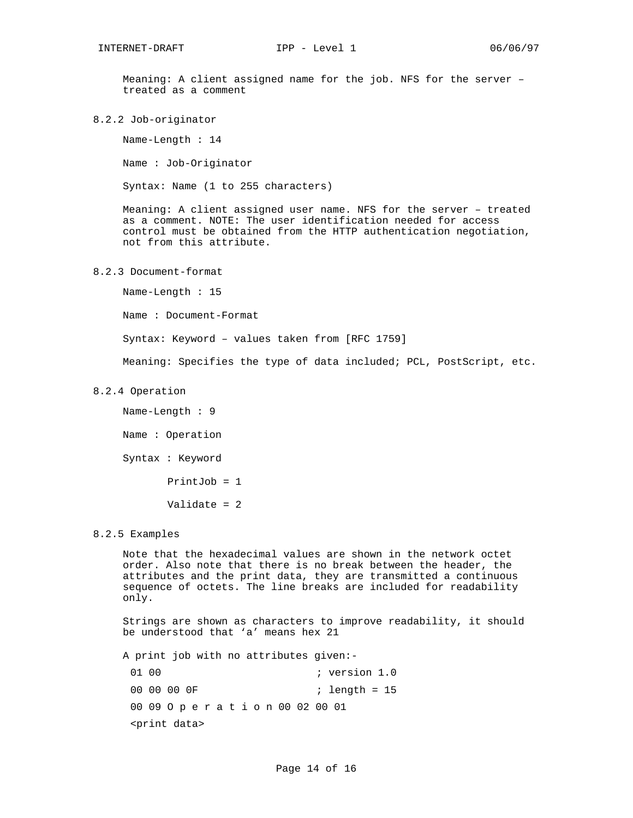Meaning: A client assigned name for the job. NFS for the server – treated as a comment

8.2.2 Job-originator

Name-Length : 14

Name : Job-Originator

Syntax: Name (1 to 255 characters)

Meaning: A client assigned user name. NFS for the server – treated as a comment. NOTE: The user identification needed for access control must be obtained from the HTTP authentication negotiation, not from this attribute.

# 8.2.3 Document-format

Name-Length : 15 Name : Document-Format Syntax: Keyword – values taken from [RFC 1759] Meaning: Specifies the type of data included; PCL, PostScript, etc.

#### 8.2.4 Operation

Name-Length : 9 Name : Operation Syntax : Keyword PrintJob = 1 Validate = 2

#### 8.2.5 Examples

Note that the hexadecimal values are shown in the network octet order. Also note that there is no break between the header, the attributes and the print data, they are transmitted a continuous sequence of octets. The line breaks are included for readability only.

Strings are shown as characters to improve readability, it should be understood that 'a' means hex 21

A print job with no attributes given:-

01 00 ; version 1.0 00 00 00 0F ; length = 15 00 09 O p e r a t i o n 00 02 00 01 <print data>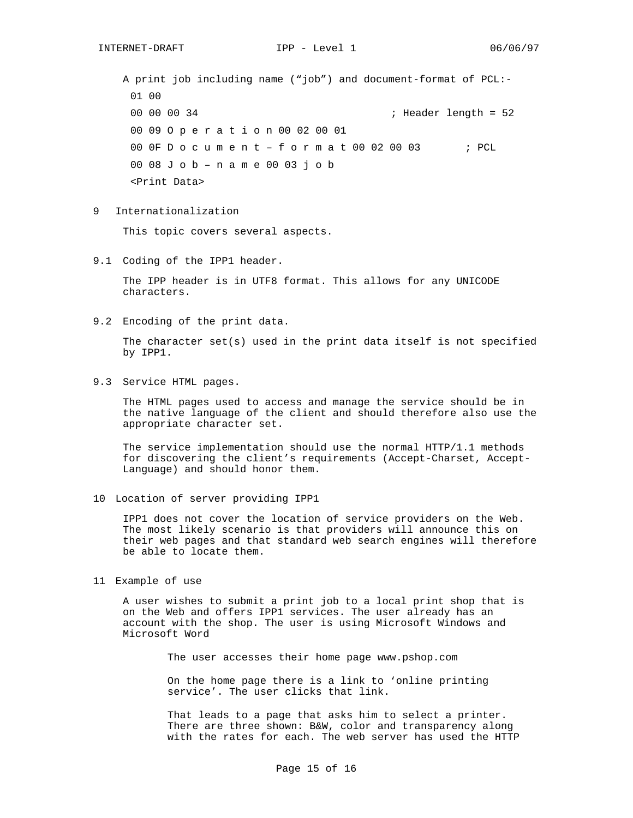A print job including name ("job") and document-format of PCL:- 01 00 00 00 00 34 ; Header length = 52 00 09 O p e r a t i o n 00 02 00 01 00 0F D o c u m e n t - f o r m a t 00 02 00 03 ; PCL 00 08 J o b – n a m e 00 03 j o b <Print Data>

9 Internationalization

This topic covers several aspects.

9.1 Coding of the IPP1 header.

The IPP header is in UTF8 format. This allows for any UNICODE characters.

9.2 Encoding of the print data.

The character  $set(s)$  used in the print data itself is not specified by IPP1.

9.3 Service HTML pages.

The HTML pages used to access and manage the service should be in the native language of the client and should therefore also use the appropriate character set.

The service implementation should use the normal HTTP/1.1 methods for discovering the client's requirements (Accept-Charset, Accept-Language) and should honor them.

10 Location of server providing IPP1

IPP1 does not cover the location of service providers on the Web. The most likely scenario is that providers will announce this on their web pages and that standard web search engines will therefore be able to locate them.

11 Example of use

A user wishes to submit a print job to a local print shop that is on the Web and offers IPP1 services. The user already has an account with the shop. The user is using Microsoft Windows and Microsoft Word

The user accesses their home page www.pshop.com

On the home page there is a link to 'online printing service'. The user clicks that link.

That leads to a page that asks him to select a printer. There are three shown: B&W, color and transparency along with the rates for each. The web server has used the HTTP